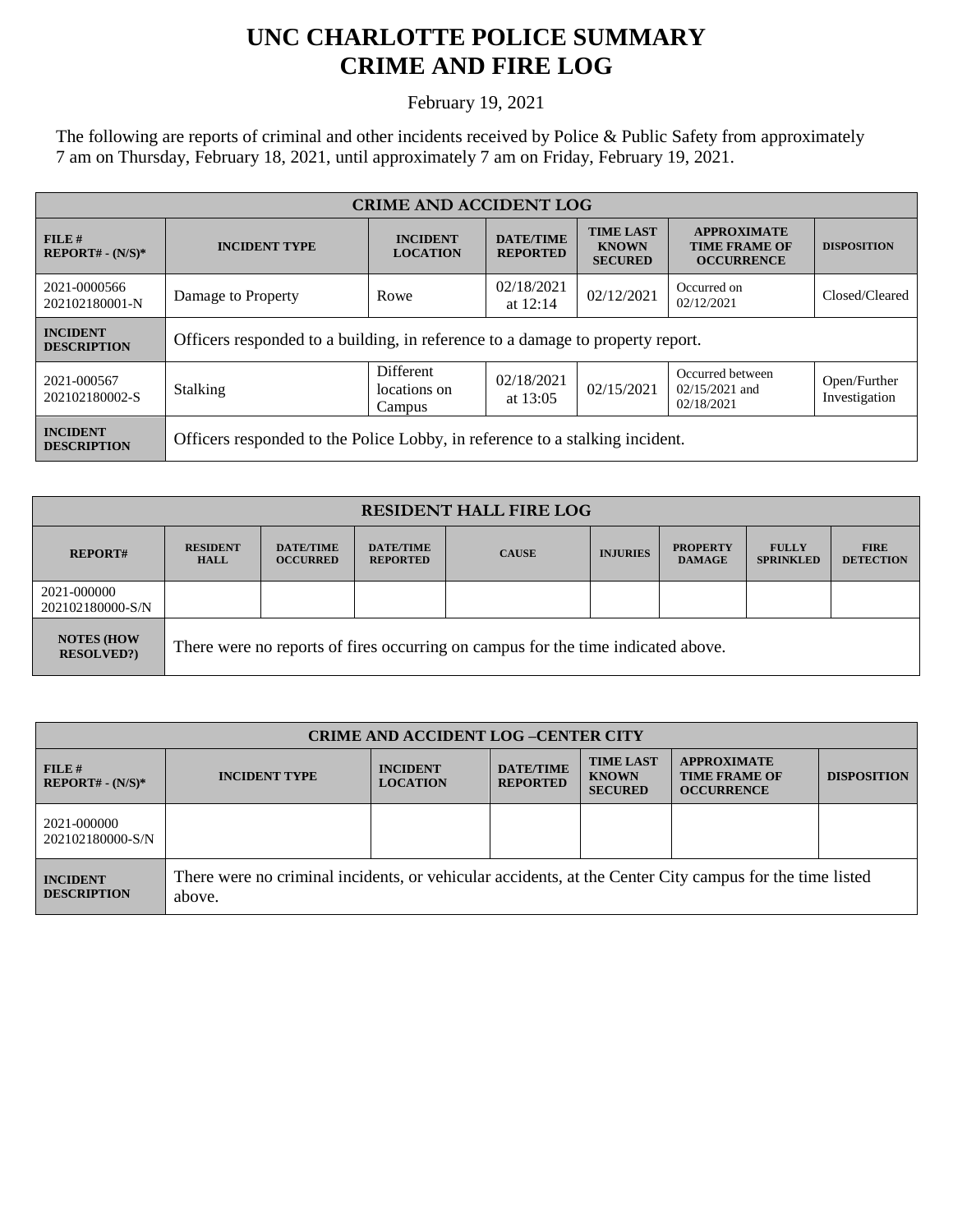## **UNC CHARLOTTE POLICE SUMMARY CRIME AND FIRE LOG**

February 19, 2021

The following are reports of criminal and other incidents received by Police & Public Safety from approximately 7 am on Thursday, February 18, 2021, until approximately 7 am on Friday, February 19, 2021.

| <b>CRIME AND ACCIDENT LOG</b>         |                                                                                                                                                         |                                     |                                                                 |                    |                                                    |                               |  |
|---------------------------------------|---------------------------------------------------------------------------------------------------------------------------------------------------------|-------------------------------------|-----------------------------------------------------------------|--------------------|----------------------------------------------------|-------------------------------|--|
| FILE#<br>$REPORT# - (N/S)*$           | <b>TIME LAST</b><br><b>DATE/TIME</b><br><b>INCIDENT</b><br><b>INCIDENT TYPE</b><br><b>KNOWN</b><br><b>LOCATION</b><br><b>REPORTED</b><br><b>SECURED</b> |                                     | <b>APPROXIMATE</b><br><b>TIME FRAME OF</b><br><b>OCCURRENCE</b> | <b>DISPOSITION</b> |                                                    |                               |  |
| 2021-0000566<br>202102180001-N        | Damage to Property                                                                                                                                      | Rowe                                | 02/18/2021<br>at $12:14$                                        | 02/12/2021         | Occurred on<br>02/12/2021                          | Closed/Cleared                |  |
| <b>INCIDENT</b><br><b>DESCRIPTION</b> | Officers responded to a building, in reference to a damage to property report.                                                                          |                                     |                                                                 |                    |                                                    |                               |  |
| 2021-000567<br>202102180002-S         | Stalking                                                                                                                                                | Different<br>locations on<br>Campus | 02/18/2021<br>at $13:05$                                        | 02/15/2021         | Occurred between<br>$02/15/2021$ and<br>02/18/2021 | Open/Further<br>Investigation |  |
| <b>INCIDENT</b><br><b>DESCRIPTION</b> | Officers responded to the Police Lobby, in reference to a stalking incident.                                                                            |                                     |                                                                 |                    |                                                    |                               |  |

| <b>RESIDENT HALL FIRE LOG</b>         |                                                                                  |                                     |                                     |              |                 |                                  |                                  |                                 |
|---------------------------------------|----------------------------------------------------------------------------------|-------------------------------------|-------------------------------------|--------------|-----------------|----------------------------------|----------------------------------|---------------------------------|
| <b>REPORT#</b>                        | <b>RESIDENT</b><br><b>HALL</b>                                                   | <b>DATE/TIME</b><br><b>OCCURRED</b> | <b>DATE/TIME</b><br><b>REPORTED</b> | <b>CAUSE</b> | <b>INJURIES</b> | <b>PROPERTY</b><br><b>DAMAGE</b> | <b>FULLY</b><br><b>SPRINKLED</b> | <b>FIRE</b><br><b>DETECTION</b> |
| 2021-000000<br>202102180000-S/N       |                                                                                  |                                     |                                     |              |                 |                                  |                                  |                                 |
| <b>NOTES (HOW</b><br><b>RESOLVED?</b> | There were no reports of fires occurring on campus for the time indicated above. |                                     |                                     |              |                 |                                  |                                  |                                 |

| <b>CRIME AND ACCIDENT LOG-CENTER CITY</b> |                                                                                                                   |                                    |                                     |                                                    |                                                                 |                    |
|-------------------------------------------|-------------------------------------------------------------------------------------------------------------------|------------------------------------|-------------------------------------|----------------------------------------------------|-----------------------------------------------------------------|--------------------|
| FILE H<br>$REPORT# - (N/S)*$              | <b>INCIDENT TYPE</b>                                                                                              | <b>INCIDENT</b><br><b>LOCATION</b> | <b>DATE/TIME</b><br><b>REPORTED</b> | <b>TIME LAST</b><br><b>KNOWN</b><br><b>SECURED</b> | <b>APPROXIMATE</b><br><b>TIME FRAME OF</b><br><b>OCCURRENCE</b> | <b>DISPOSITION</b> |
| 2021-000000<br>202102180000-S/N           |                                                                                                                   |                                    |                                     |                                                    |                                                                 |                    |
| <b>INCIDENT</b><br><b>DESCRIPTION</b>     | There were no criminal incidents, or vehicular accidents, at the Center City campus for the time listed<br>above. |                                    |                                     |                                                    |                                                                 |                    |